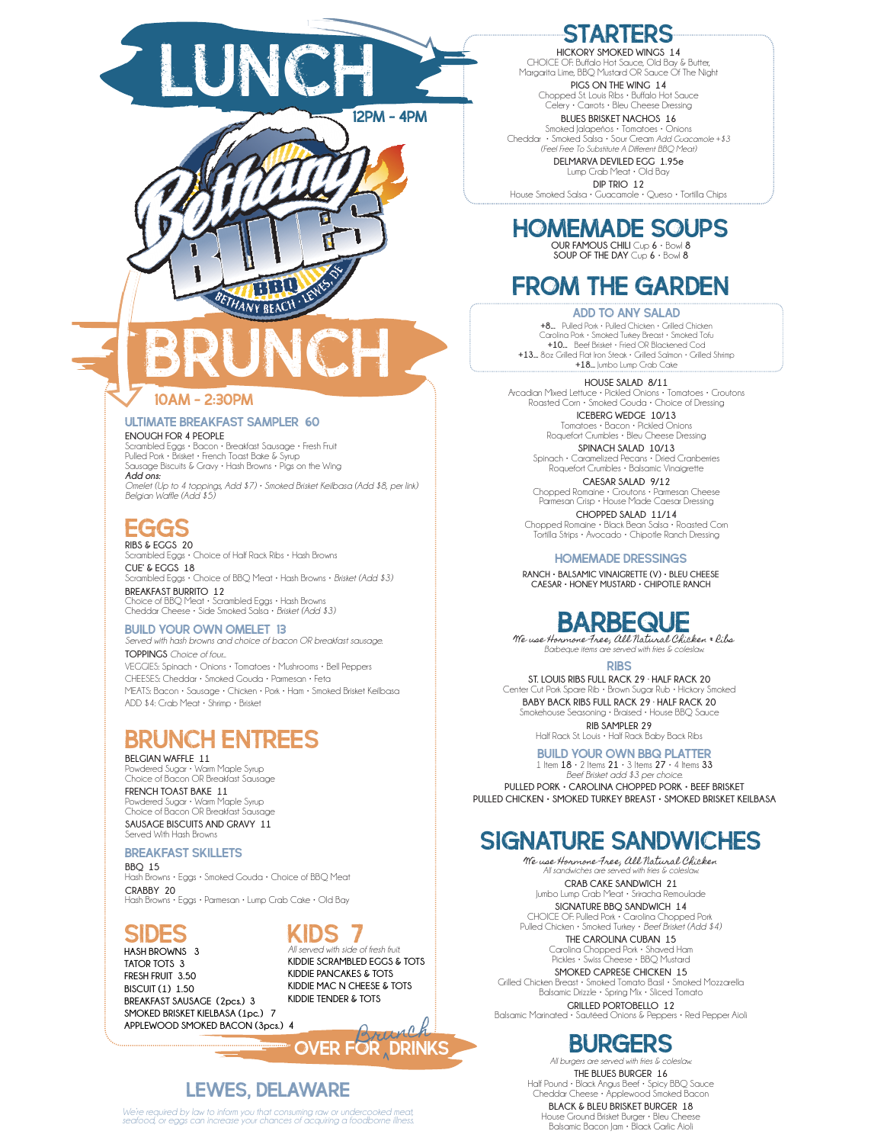



#### Ultimate Breakfast Sampler 60

#### **ENOUGH FOR 4 PEOPLE**

Scrambled Eggs • Bacon • Breakfast Sausage • Fresh Fruit Pulled Pork • Brisket • French Toast Bake & Syrup Sausage Biscuits & Gravy • Hash Browns • Pigs on the Wing *Add ons: Omelet (Up to 4 toppings, Add \$7) • Smoked Brisket Keilbasa (Add \$8, per link) Belgian Waffle (Add \$5)*

eggs **RIBS & EGGS 20**

Scrambled Eggs • Choice of Half Rack Ribs • Hash Browns **CUE' & EGGS 18** Scrambled Eggs • Choice of BBQ Meat • Hash Browns • *Brisket (Add \$3)* **BREAKFAST BURRITO 12**  Choice of BBQ Meat • Scrambled Eggs • Hash Browns Cheddar Cheese • Side Smoked Salsa • *Brisket (Add \$3)*

#### BUILD YOUR OWN OMELET 13

*Served with hash browns and choice of bacon OR breakfast sausage.* **TOPPINGS** *Choice of four...* VEGGIES: Spinach • Onions • Tomatoes • Mushrooms • Bell Peppers CHEESES: Cheddar • Smoked Gouda • Parmesan • Feta MEATS: Bacon • Sausage • Chicken • Pork • Ham • Smoked Brisket Keilbasa ADD \$4: Crab Meat • Shrimp • Brisket

### Brunch entrees

**BELGIAN WAFFLE 11** Powdered Sugar • Warm Maple Syrup Choice of Bacon OR Breakfast Sausage **FRENCH TOAST BAKE 11** Powdered Sugar • Warm Maple Syrup Choice of Bacon OR Breakfast Sausage

**SAUSAGE BISCUITS AND GRAVY 11** Served With Hash Browns

#### Breakfast skillets

**BBQ 15** Hash Browns • Eggs • Smoked Gouda • Choice of BBQ Meat **CRABBY 20** Hash Browns • Eggs • Parmesan • Lump Crab Cake • Old Bay

### sides

**HASH BROWNS 3 TATOR TOTS 3 FRESH FRUIT 3.50 BISCUIT (1) 1.50 BREAKFAST SAUSAGE (2pcs.) 3 SMOKED BRISKET KIELBASA (1pc.) 7 APPLEWOOD SMOKED BACON (3pcs.) 4**

Kids 7 *All served with side of fresh fruit.*

**KIDDIE SCRAMBLED EGGS & TOTS KIDDIE PANCAKES & TOTS KIDDIE MAC N CHEESE & TOTS KIDDIE TENDER & TOTS**

OVER FOR DRINKS

### lewes, delaware

*We're required by law to inform you that consuming raw or undercooked meat, seafood, or eggs can increase your chances of acquiring a foodborne illness.*

### STARTERS

**HICKORY SMOKED WINGS 14** CHOICE OF: Buffalo Hot Sauce, Old Bay & Butter, Margarita Lime, BBQ Mustard OR Sauce Of The Night **PIGS ON THE WING 14**

Chopped St. Louis Ribs • Buffalo Hot Sauce Celery • Carrots • Bleu Cheese Dressing **BLUES BRISKET NACHOS 16**

Smoked Jalapeños • Tomatoes • Onions Cheddar • Smoked Salsa • Sour Cream *Add Guacamole +\$3 (Feel Free To Substitute A Different BBQ Meat)*

**DELMARVA DEVILED EGG 1.95e** Lump Crab Meat • Old Bay

**DIP TRIO 12** House Smoked Salsa • Guacamole • Queso • Tortilla Chips

## Homemade soups

**OUR FAMOUS CHILI** Cup **6** • Bowl **8 SOUP OF THE DAY** Cup **6** • Bowl **8**

## from the garden

**ADD TO ANY SALAD<br><b>+8...** Pulled Pork • Pulled Chicken • Grilled Chicken Carolina Pork • Smoked Turkey Breast • Smoked Tofu **+10...** Beef Brisket • Fried OR Blackened Cod **+13...** 8oz Grilled Flat Iron Steak • Grilled Salmon • Grilled Shrimp **+18...** Jumbo Lump Crab Cake

#### **HOUSE SALAD 8/11**

Arcadian Mixed Lettuce • Pickled Onions • Tomatoes • Croutons Roasted Corn • Smoked Gouda • Choice of Dressing

**ICEBERG WEDGE 10/13** Tomatoes • Bacon • Pickled Onions Roquefort Crumbles • Bleu Cheese Dressing **SPINACH SALAD 10/13**

Spinach • Caramelized Pecans • Dried Cranberries Roquefort Crumbles • Balsamic Vinaigrette **CAESAR SALAD 9/12**

Chopped Romaine • Croutons • Parmesan Cheese Parmesan Crisp • House Made Caesar Dressing **CHOPPED SALAD 11/14**

Chopped Romaine • Black Bean Salsa • Roasted Corn Tortilla Strips • Avocado • Chipotle Ranch Dressing

HOMEMADE DRESSINGS

**RANCH • BALSAMIC VINAIGRETTE (V) • BLEU CHEESE CAESAR • HONEY MUSTARD • CHIPOTLE RANCH**

## BARBEQUE

We use Hormone Free, All Natural Chicken & Ribs *Barbeque items are served with fries & coleslaw.*

RIBS

**ST. LOUIS RIBS FULL RACK 29 · HALF RACK 20** Center Cut Pork Spare Rib • Brown Sugar Rub • Hickory Smoked **BABY BACK RIBS FULL RACK 29 · HALF RACK 20** Smokehouse Seasoning • Braised • House BBQ Sauce **RIB SAMPLER 29** Half Rack St. Louis • Half Rack Baby Back Ribs

#### build Your Own BBQ Platter

1 Item **18** • 2 Items **21** • 3 Items **27** • 4 Items **33** *Beef Brisket add \$3 per choice.* **PULLED PORK • CAROLINA CHOPPED PORK • BEEF BRISKET PULLED CHICKEN • SMOKED TURKEY BREAST • SMOKED BRISKET KEILBASA**

### SIGNATURE SANDWICHES

We use Hormone Free, All Natural Chicken *All sandwiches are served with fries & coleslaw.* **CRAB CAKE SANDWICH 21** Jumbo Lump Crab Meat • Sriracha Remoulade **SIGNATURE BBQ SANDWICH 14** CHOICE OF: Pulled Pork • Carolina Chopped Pork

Pulled Chicken • Smoked Turkey • *Beef Brisket (Add \$4)* **THE CAROLINA CUBAN 15**

> Carolina Chopped Pork • Shaved Ham Pickles • Swiss Cheese • BBQ Mustard **SMOKED CAPRESE CHICKEN 15**

Grilled Chicken Breast • Smoked Tomato Basil • Smoked Mozzarella Balsamic Drizzle • Spring Mix • Sliced Tomato **GRILLED PORTOBELLO 12**

Balsamic Marinated • Sautéed Onions & Peppers • Red Pepper Aioli

### **BURGERS**

*All burgers are served with fries & coleslaw.* **THE BLUES BURGER 16** Half Pound • Black Angus Beef • Spicy BBQ Sauce Cheddar Cheese • Applewood Smoked Bacon **BLACK & BLEU BRISKET BURGER 18**

House Ground Brisket Burger • Bleu Cheese Balsamic Bacon Jam • Black Garlic Aioli